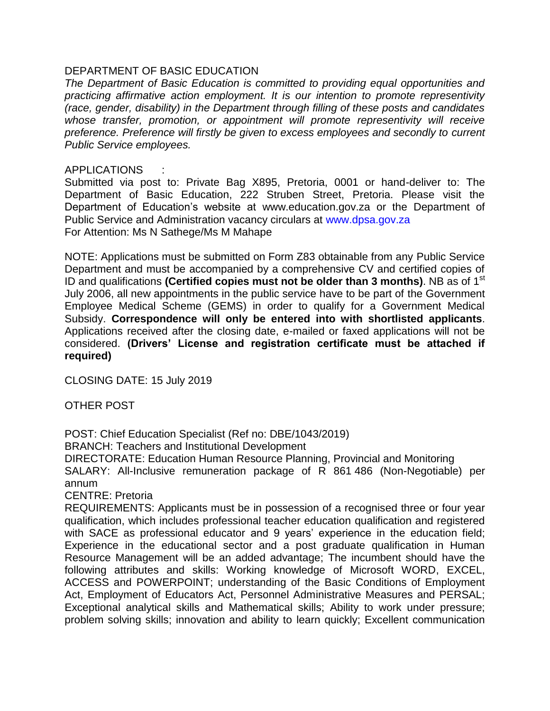## DEPARTMENT OF BASIC EDUCATION

*The Department of Basic Education is committed to providing equal opportunities and practicing affirmative action employment. It is our intention to promote representivity (race, gender, disability) in the Department through filling of these posts and candidates whose transfer, promotion, or appointment will promote representivity will receive preference. Preference will firstly be given to excess employees and secondly to current Public Service employees.* 

## APPLICATIONS :

Submitted via post to: Private Bag X895, Pretoria, 0001 or hand-deliver to: The Department of Basic Education, 222 Struben Street, Pretoria. Please visit the Department of Education's website at www.education.gov.za or the Department of Public Service and Administration vacancy circulars at [www.dpsa.gov.za](http://www.dpsa.gov.za/) For Attention: Ms N Sathege/Ms M Mahape

NOTE: Applications must be submitted on Form Z83 obtainable from any Public Service Department and must be accompanied by a comprehensive CV and certified copies of ID and qualifications **(Certified copies must not be older than 3 months)**. NB as of 1<sup>st</sup> July 2006, all new appointments in the public service have to be part of the Government Employee Medical Scheme (GEMS) in order to qualify for a Government Medical Subsidy. **Correspondence will only be entered into with shortlisted applicants**. Applications received after the closing date, e-mailed or faxed applications will not be considered. **(Drivers' License and registration certificate must be attached if required)**

CLOSING DATE: 15 July 2019

OTHER POST

POST: Chief Education Specialist (Ref no: DBE/1043/2019)

BRANCH: Teachers and Institutional Development

DIRECTORATE: Education Human Resource Planning, Provincial and Monitoring SALARY: All-Inclusive remuneration package of R 861 486 (Non-Negotiable) per annum

CENTRE: Pretoria

REQUIREMENTS: Applicants must be in possession of a recognised three or four year qualification, which includes professional teacher education qualification and registered with SACE as professional educator and 9 years' experience in the education field; Experience in the educational sector and a post graduate qualification in Human Resource Management will be an added advantage; The incumbent should have the following attributes and skills: Working knowledge of Microsoft WORD, EXCEL, ACCESS and POWERPOINT; understanding of the Basic Conditions of Employment Act, Employment of Educators Act, Personnel Administrative Measures and PERSAL; Exceptional analytical skills and Mathematical skills; Ability to work under pressure; problem solving skills; innovation and ability to learn quickly; Excellent communication